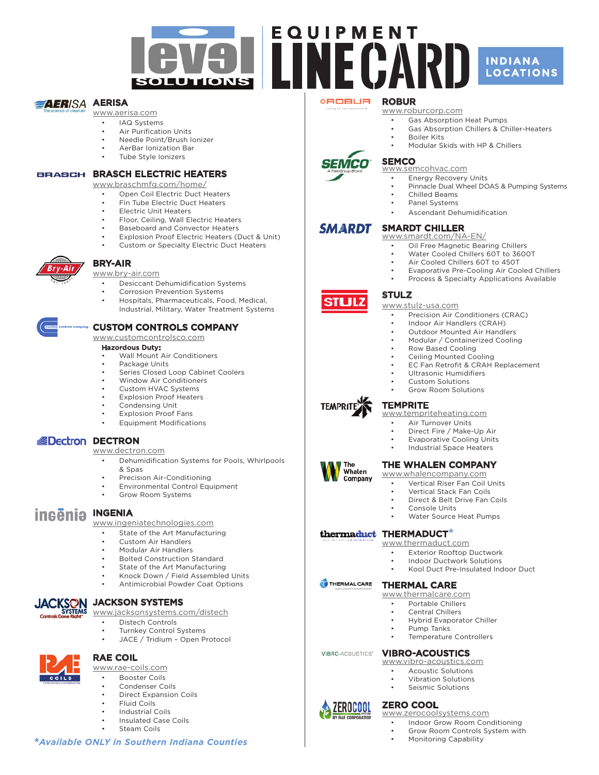

### **AERISA AERISA**

### www.aerisa.com

- • IAQ Systems
- **Air Purification Units**
- Needle Point/Brush Ionizer AerBar Ionization Bar
- 
- Tube Style Ionizers

### BRASCH ELECTRIC HEATERS

www.braschmfg.com/home/

- Open Coil Electric Duct Heaters
- Fin Tube Electric Duct Heaters
- **Electric Unit Heaters**
- Floor, Ceiling, Wall Electric Heaters
- Baseboard and Convector Heaters
- **Explosion Proof Electric Heaters (Duct & Unit)**
- Custom or Specialty Electric Duct Heaters



## Bry-Air

www.bry-air.com

- Desiccant Dehumidification Systems Corrosion Prevention Systems
- Hospitals, Pharmaceuticals, Food, Medical, Industrial, Military, Water Treatment Systems

### Custom Controls Company

### www.customcontrolsco.com

### Hazordous Duty:

- Wall Mount Air Conditioners
- Package Units
- Series Closed Loop Cabinet Coolers
- **Window Air Conditioners**
- Custom HVAC Systems
- **Explosion Proof Heaters**
- Condensing Unit
- **Explosion Proof Fans**
- **Equipment Modifications**

## **BDECTRON**

www.dectron.com

- Dehumidification Systems for Pools, Whirlpools & Spas
- Precision Air-Conditioning
- **Environmental Control Equipment**
- Grow Room Systems

## **ingenia INGENIA**

www.ingeniatechnologies.com

- • State of the Art Manufacturing
- Custom Air Handlers
- Modular Air Handlers
- **Bolted Construction Standard**
- State of the Art Manufacturing
- Knock Down / Field Assembled Units
- Antimicrobial Powder Coat Options



# **ACKSON JACKSON SYSTEMS**<br>Systems www.iacksonsystems.com

www.jacksonsystems.com/distech

- • Distech Controls
- **Turnkey Control Systems**
- JACE / Tridium Open Protocol



RAE Coil

www.rae-coils.com

- **Booster Coils**
- Condenser Coils
- **Direct Expansion Coils Fluid Coils**
- • Industrial Coils
- • Insulated Case Coils
- 
- **Steam Coils**

### **\****Available ONLY in Southern Indiana Counties*

### **ROBUR**

### www.roburcorp.com

- • Gas Absorption Heat Pumps
	- Gas Absorption Chillers & Chiller-Heaters
- **Boiler Kits** 
	- Modular Skids with HP & Chillers



**STLJLZ** 

**TEMPRIT** 

The Whalen Company

THERMALCARE

VIBRO-ACOUSTICS"

 $\blacktriangle$  Zerocool

## **SEMCO**

## www.semcohvac.com

- **Energy Recovery Units**
- Pinnacle Dual Wheel DOAS & Pumping Systems Chilled Beams
- 
- Panel Systems
- Ascendant Dehumidification

#### **SMARDT** Smardt Chiller

- www.smardt.com/NA-EN/
	- Oil Free Magnetic Bearing Chillers
	- Water Cooled Chillers 60T to 3600T
	- Air Cooled Chillers 60T to 450T
	- Evaporative Pre-Cooling Air Cooled Chillers
	- Process & Specialty Applications Available

### **STULZ**

www.stulz-usa.com

- Precision Air Conditioners (CRAC)
- Indoor Air Handlers (CRAH)
- **Outdoor Mounted Air Handlers**
- Modular / Containerized Cooling
- Row Based Cooling
- Ceiling Mounted Cooling
- **EC Fan Retrofit & CRAH Replacement**
- Ultrasonic Humidifiers
- Custom Solutions

• Air Turnover Units

**Grow Room Solutions** 

The Whalen Company www.whalencompany.com

**Console Units** 

www.thermaduct.com

Thermal Care www.thermalcare.com • Portable Chillers Central Chillers **Hybrid Evaporator Chiller** 

Pump Tanks

Vibro-Acoustics www.vibro-acoustics.com • Acoustic Solutions • Vibration Solutions<br>• Seismic Solutions Seismic Solutions

www.zerocoolsystems.com

Monitoring Capability

• Indoor Grow Room Conditioning Grow Room Controls System with

**ZERO COOL** 

Direct Fire / Make-Up Air **Evaporative Cooling Units Industrial Space Heaters** 

Vertical Riser Fan Coil Units Vertical Stack Fan Coils Direct & Belt Drive Fan Coils

Water Source Heat Pumps

• Exterior Rooftop Ductwork Indoor Ductwork Solutions Kool Duct Pre-Insulated Indoor Duct

Temperature Controllers

### **TEMPRITE** www.tempriteheating.com

thermaduct THERMADUCT\*